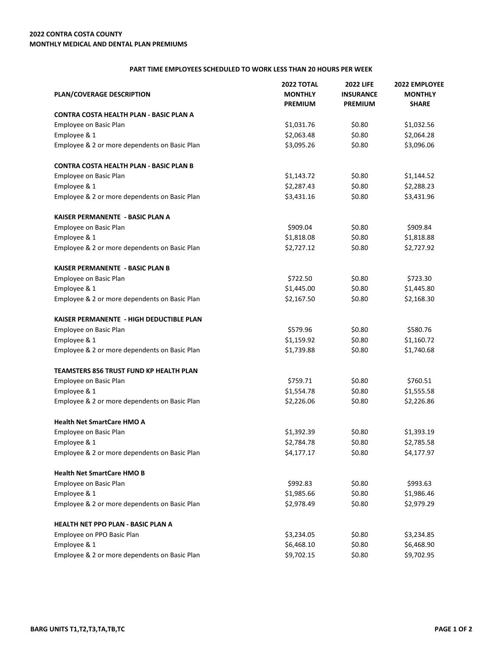## **PART TIME EMPLOYEES SCHEDULED TO WORK LESS THAN 20 HOURS PER WEEK**

| PLAN/COVERAGE DESCRIPTION                      | <b>2022 TOTAL</b><br><b>MONTHLY</b><br><b>PREMIUM</b> | <b>2022 LIFE</b><br><b>INSURANCE</b><br><b>PREMIUM</b> | 2022 EMPLOYEE<br><b>MONTHLY</b><br><b>SHARE</b> |
|------------------------------------------------|-------------------------------------------------------|--------------------------------------------------------|-------------------------------------------------|
| CONTRA COSTA HEALTH PLAN - BASIC PLAN A        |                                                       |                                                        |                                                 |
| Employee on Basic Plan                         | \$1,031.76                                            | \$0.80                                                 | \$1,032.56                                      |
| Employee & 1                                   | \$2,063.48                                            | \$0.80                                                 | \$2,064.28                                      |
| Employee & 2 or more dependents on Basic Plan  | \$3,095.26                                            | \$0.80                                                 | \$3,096.06                                      |
| <b>CONTRA COSTA HEALTH PLAN - BASIC PLAN B</b> |                                                       |                                                        |                                                 |
| Employee on Basic Plan                         | \$1,143.72                                            | \$0.80                                                 | \$1,144.52                                      |
| Employee & 1                                   | \$2,287.43                                            | \$0.80                                                 | \$2,288.23                                      |
| Employee & 2 or more dependents on Basic Plan  | \$3,431.16                                            | \$0.80                                                 | \$3,431.96                                      |
| KAISER PERMANENTE - BASIC PLAN A               |                                                       |                                                        |                                                 |
| Employee on Basic Plan                         | \$909.04                                              | \$0.80                                                 | \$909.84                                        |
| Employee & 1                                   | \$1,818.08                                            | \$0.80                                                 | \$1,818.88                                      |
| Employee & 2 or more dependents on Basic Plan  | \$2,727.12                                            | \$0.80                                                 | \$2,727.92                                      |
| KAISER PERMANENTE - BASIC PLAN B               |                                                       |                                                        |                                                 |
| Employee on Basic Plan                         | \$722.50                                              | \$0.80                                                 | \$723.30                                        |
| Employee & 1                                   | \$1,445.00                                            | \$0.80                                                 | \$1,445.80                                      |
| Employee & 2 or more dependents on Basic Plan  | \$2,167.50                                            | \$0.80                                                 | \$2,168.30                                      |
| KAISER PERMANENTE - HIGH DEDUCTIBLE PLAN       |                                                       |                                                        |                                                 |
| Employee on Basic Plan                         | \$579.96                                              | \$0.80                                                 | \$580.76                                        |
| Employee & 1                                   | \$1,159.92                                            | \$0.80                                                 | \$1,160.72                                      |
| Employee & 2 or more dependents on Basic Plan  | \$1,739.88                                            | \$0.80                                                 | \$1,740.68                                      |
| TEAMSTERS 856 TRUST FUND KP HEALTH PLAN        |                                                       |                                                        |                                                 |
| Employee on Basic Plan                         | \$759.71                                              | \$0.80                                                 | \$760.51                                        |
| Employee & 1                                   | \$1,554.78                                            | \$0.80                                                 | \$1,555.58                                      |
| Employee & 2 or more dependents on Basic Plan  | \$2,226.06                                            | \$0.80                                                 | \$2,226.86                                      |
| <b>Health Net SmartCare HMO A</b>              |                                                       |                                                        |                                                 |
| Employee on Basic Plan                         | \$1,392.39                                            | \$0.80                                                 | \$1,393.19                                      |
| Employee & 1                                   | \$2,784.78                                            | \$0.80                                                 | \$2,785.58                                      |
| Employee & 2 or more dependents on Basic Plan  | \$4,177.17                                            | \$0.80                                                 | \$4,177.97                                      |
| <b>Health Net SmartCare HMO B</b>              |                                                       |                                                        |                                                 |
| Employee on Basic Plan                         | \$992.83                                              | \$0.80                                                 | \$993.63                                        |
| Employee & 1                                   | \$1,985.66                                            | \$0.80                                                 | \$1,986.46                                      |
| Employee & 2 or more dependents on Basic Plan  | \$2,978.49                                            | \$0.80                                                 | \$2,979.29                                      |
| <b>HEALTH NET PPO PLAN - BASIC PLAN A</b>      |                                                       |                                                        |                                                 |
| Employee on PPO Basic Plan                     | \$3,234.05                                            | \$0.80                                                 | \$3,234.85                                      |
| Employee & 1                                   | \$6,468.10                                            | \$0.80                                                 | \$6,468.90                                      |
| Employee & 2 or more dependents on Basic Plan  | \$9,702.15                                            | \$0.80                                                 | \$9,702.95                                      |